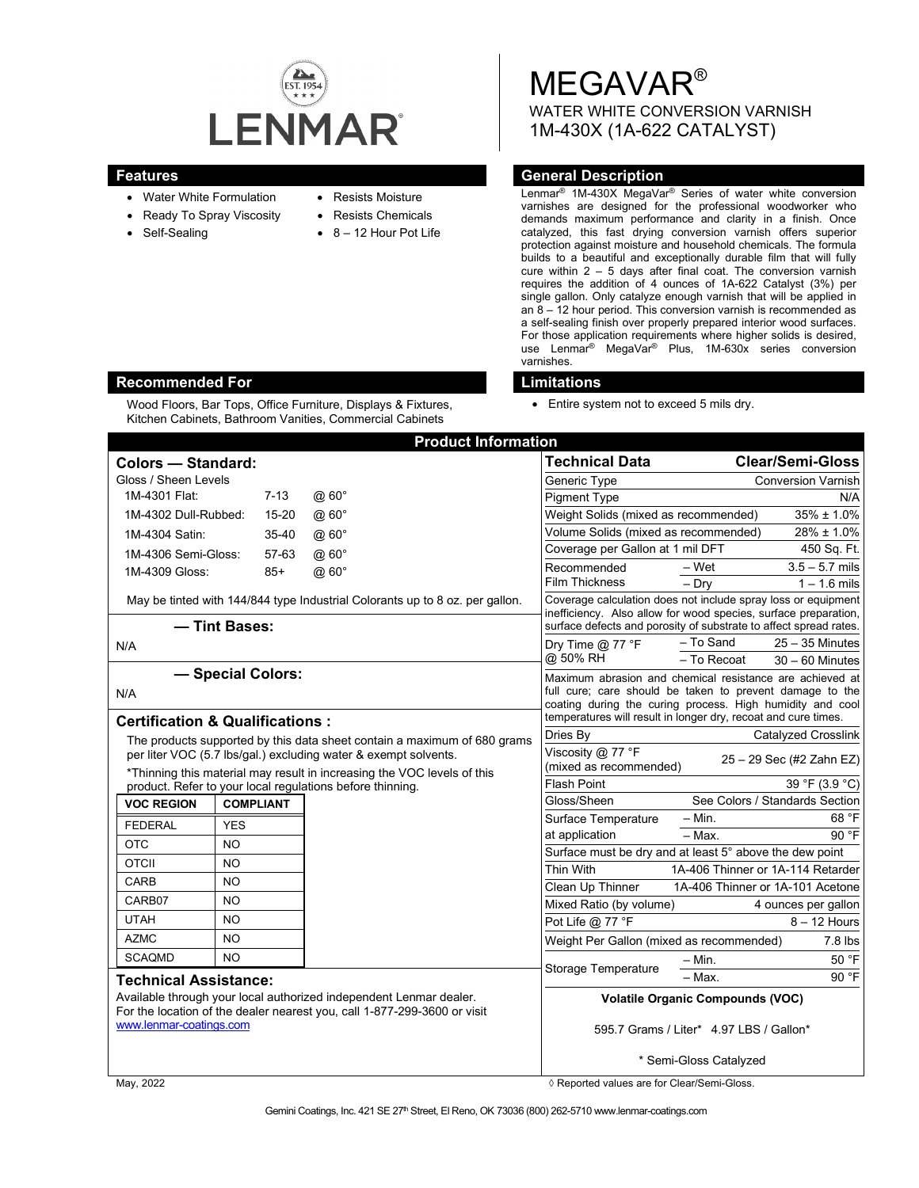

Wood Floors, Bar Tops, Office Furniture, Displays & Fixtures, Kitchen Cabinets, Bathroom Vanities, Commercial Cabinets

- Water White Formulation
- Ready To Spray Viscosity
- Self-Sealing
- Resists Moisture
- Resists Chemicals
	- 8 12 Hour Pot Life

MEGAVAR® WATER WHITE CONVERSION VARNISH 1M-430X (1A-622 CATALYST)

## **Features General Description**

Lenmar® 1M-430X MegaVar® Series of water white conversion varnishes are designed for the professional woodworker who demands maximum performance and clarity in a finish. Once catalyzed, this fast drying conversion varnish offers superior protection against moisture and household chemicals. The formula builds to a beautiful and exceptionally durable film that will fully cure within 2 – 5 days after final coat. The conversion varnish requires the addition of 4 ounces of 1A-622 Catalyst (3%) per single gallon. Only catalyze enough varnish that will be applied in an 8 – 12 hour period. This conversion varnish is recommended as a self-sealing finish over properly prepared interior wood surfaces. For those application requirements where higher solids is desired, use Lenmar® MegaVar® Plus, 1M-630x series conversion varnishes.

## **Recommended For Limitations**

• Entire system not to exceed 5 mils dry.

|                                                                                                                                                |               | <b>Product Information</b>                                                   |                                                                                                                                                                                                                                                     |                                                         |
|------------------------------------------------------------------------------------------------------------------------------------------------|---------------|------------------------------------------------------------------------------|-----------------------------------------------------------------------------------------------------------------------------------------------------------------------------------------------------------------------------------------------------|---------------------------------------------------------|
| Colors - Standard:                                                                                                                             |               |                                                                              | <b>Technical Data</b>                                                                                                                                                                                                                               | <b>Clear/Semi-Gloss</b>                                 |
| Gloss / Sheen Levels                                                                                                                           |               |                                                                              | Generic Type                                                                                                                                                                                                                                        | <b>Conversion Varnish</b>                               |
| 1M-4301 Flat:                                                                                                                                  | $7 - 13$      | @60°                                                                         | <b>Pigment Type</b>                                                                                                                                                                                                                                 | N/A                                                     |
| 1M-4302 Dull-Rubbed:                                                                                                                           | 15-20         | @ 60°                                                                        | Weight Solids (mixed as recommended)                                                                                                                                                                                                                | $35\% \pm 1.0\%$                                        |
| 1M-4304 Satin:                                                                                                                                 | $35 - 40$     | @60°                                                                         | Volume Solids (mixed as recommended)                                                                                                                                                                                                                | 28% ± 1.0%                                              |
| 1M-4306 Semi-Gloss:<br>57-63                                                                                                                   |               | @ 60°                                                                        | Coverage per Gallon at 1 mil DFT<br>450 Sq. Ft.                                                                                                                                                                                                     |                                                         |
| 1M-4309 Gloss:                                                                                                                                 | $85+$         | @60°                                                                         | Recommended<br><b>Film Thickness</b>                                                                                                                                                                                                                | $3.5 - 5.7$ mils<br>– Wet<br>$-$ Drv<br>$1 - 1.6$ mils  |
|                                                                                                                                                |               | May be tinted with 144/844 type Industrial Colorants up to 8 oz. per gallon. | Coverage calculation does not include spray loss or equipment<br>inefficiency. Also allow for wood species, surface preparation,<br>surface defects and porosity of substrate to affect spread rates.                                               |                                                         |
|                                                                                                                                                | - Tint Bases: |                                                                              |                                                                                                                                                                                                                                                     |                                                         |
| N/A                                                                                                                                            |               |                                                                              | Dry Time $@$ 77 °F                                                                                                                                                                                                                                  | - To Sand<br>$25 - 35$ Minutes                          |
|                                                                                                                                                |               |                                                                              | @ 50% RH                                                                                                                                                                                                                                            | - To Recoat<br>$30 - 60$ Minutes                        |
| - Special Colors:<br>N/A                                                                                                                       |               |                                                                              | Maximum abrasion and chemical resistance are achieved at<br>full cure; care should be taken to prevent damage to the<br>coating during the curing process. High humidity and cool<br>temperatures will result in longer dry, recoat and cure times. |                                                         |
| <b>Certification &amp; Qualifications:</b>                                                                                                     |               |                                                                              | Dries By                                                                                                                                                                                                                                            | Catalyzed Crosslink                                     |
| The products supported by this data sheet contain a maximum of 680 grams<br>per liter VOC (5.7 lbs/gal.) excluding water & exempt solvents.    |               |                                                                              | Viscosity @ 77 °F<br>(mixed as recommended)                                                                                                                                                                                                         | 25 - 29 Sec (#2 Zahn EZ)                                |
| *Thinning this material may result in increasing the VOC levels of this<br>product. Refer to your local regulations before thinning.           |               |                                                                              | <b>Flash Point</b>                                                                                                                                                                                                                                  | 39 °F (3.9 °C)                                          |
| <b>VOC REGION</b><br><b>COMPLIANT</b>                                                                                                          |               |                                                                              | Gloss/Sheen                                                                                                                                                                                                                                         | See Colors / Standards Section                          |
| <b>FEDERAL</b>                                                                                                                                 | <b>YES</b>    |                                                                              | Surface Temperature                                                                                                                                                                                                                                 | 68 °F<br>$-$ Min.                                       |
| <b>OTC</b>                                                                                                                                     | <b>NO</b>     |                                                                              | at application                                                                                                                                                                                                                                      | 90 °F<br>$-$ Max.                                       |
|                                                                                                                                                | <b>NO</b>     |                                                                              |                                                                                                                                                                                                                                                     | Surface must be dry and at least 5° above the dew point |
| <b>OTCII</b>                                                                                                                                   |               |                                                                              | Thin With                                                                                                                                                                                                                                           | 1A-406 Thinner or 1A-114 Retarder                       |
| CARB                                                                                                                                           | NO.           |                                                                              | Clean Up Thinner                                                                                                                                                                                                                                    | 1A-406 Thinner or 1A-101 Acetone                        |
| CARB07                                                                                                                                         | NO            |                                                                              | Mixed Ratio (by volume)                                                                                                                                                                                                                             | 4 ounces per gallon                                     |
| <b>UTAH</b>                                                                                                                                    | NO            |                                                                              | Pot Life @ 77 °F                                                                                                                                                                                                                                    | $8 - 12$ Hours                                          |
| <b>AZMC</b>                                                                                                                                    | NO            |                                                                              | Weight Per Gallon (mixed as recommended)                                                                                                                                                                                                            | $7.8$ lbs                                               |
| <b>SCAQMD</b>                                                                                                                                  | <b>NO</b>     |                                                                              | Storage Temperature                                                                                                                                                                                                                                 | 50 °F<br>$- Min.$                                       |
| <b>Technical Assistance:</b>                                                                                                                   |               |                                                                              |                                                                                                                                                                                                                                                     | 90 °F<br>$-$ Max.                                       |
| Available through your local authorized independent Lenmar dealer.<br>For the location of the dealer nearest you, call 1-877-299-3600 or visit |               |                                                                              | <b>Volatile Organic Compounds (VOC)</b>                                                                                                                                                                                                             |                                                         |
| www.lenmar-coatings.com                                                                                                                        |               |                                                                              | 595.7 Grams / Liter* 4.97 LBS / Gallon*                                                                                                                                                                                                             |                                                         |
|                                                                                                                                                |               |                                                                              | * Semi-Gloss Catalyzed                                                                                                                                                                                                                              |                                                         |

May, 2022 *May, 2022 Reported values are for Clear/Semi-Gloss.*